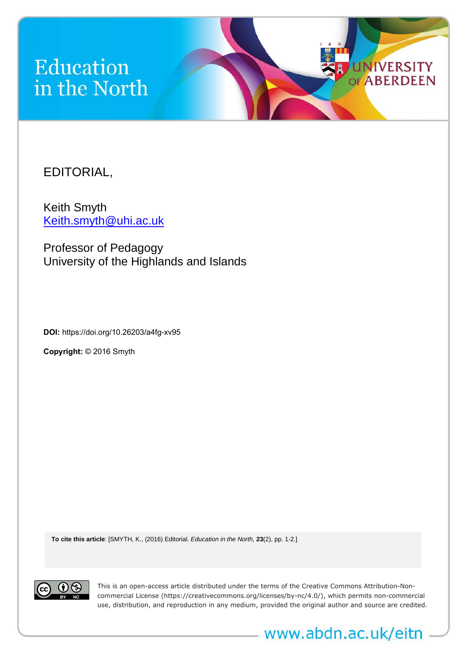## Education in the North

EDITORIAL,

Keith Smyth [Keith.smyth@uhi.ac.uk](mailto:Keith.smyth@uhi.ac.uk)

Professor of Pedagogy University of the Highlands and Islands

**DOI:** <https://doi.org/10.26203/a4fg-xv95>

**Copyright:** © 2016 Smyth

**To cite this article**: [SMYTH, K., (2016) Editorial. *Education in the North,* **23**(2), pp. 1-2.]



This is an open-access article distributed under the terms of the Creative Commons Attribution-Noncommercial License (https://creativecommons.org/licenses/by-nc/4.0/), which permits non-commercial use, distribution, and reproduction in any medium, provided the original author and source are credited.

www.abdn.ac.uk/eitn

**UNIVERSITY ABERDEEN** 

OF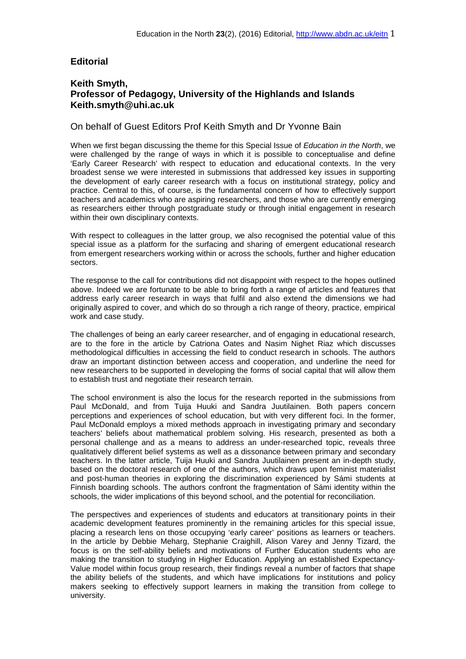## **Editorial**

## **Keith Smyth, Professor of Pedagogy, University of the Highlands and Islands Keith.smyth@uhi.ac.uk**

## On behalf of Guest Editors Prof Keith Smyth and Dr Yvonne Bain

When we first began discussing the theme for this Special Issue of *Education in the North*, we were challenged by the range of ways in which it is possible to conceptualise and define 'Early Career Research' with respect to education and educational contexts. In the very broadest sense we were interested in submissions that addressed key issues in supporting the development of early career research with a focus on institutional strategy, policy and practice. Central to this, of course, is the fundamental concern of how to effectively support teachers and academics who are aspiring researchers, and those who are currently emerging as researchers either through postgraduate study or through initial engagement in research within their own disciplinary contexts.

With respect to colleagues in the latter group, we also recognised the potential value of this special issue as a platform for the surfacing and sharing of emergent educational research from emergent researchers working within or across the schools, further and higher education sectors.

The response to the call for contributions did not disappoint with respect to the hopes outlined above. Indeed we are fortunate to be able to bring forth a range of articles and features that address early career research in ways that fulfil and also extend the dimensions we had originally aspired to cover, and which do so through a rich range of theory, practice, empirical work and case study.

The challenges of being an early career researcher, and of engaging in educational research, are to the fore in the article by Catriona Oates and Nasim Nighet Riaz which discusses methodological difficulties in accessing the field to conduct research in schools. The authors draw an important distinction between access and cooperation, and underline the need for new researchers to be supported in developing the forms of social capital that will allow them to establish trust and negotiate their research terrain.

The school environment is also the locus for the research reported in the submissions from Paul McDonald, and from Tuija Huuki and Sandra Juutilainen. Both papers concern perceptions and experiences of school education, but with very different foci. In the former, Paul McDonald employs a mixed methods approach in investigating primary and secondary teachers' beliefs about mathematical problem solving. His research, presented as both a personal challenge and as a means to address an under-researched topic, reveals three qualitatively different belief systems as well as a dissonance between primary and secondary teachers. In the latter article, Tuija Huuki and Sandra Juutilainen present an in-depth study, based on the doctoral research of one of the authors, which draws upon feminist materialist and post-human theories in exploring the discrimination experienced by Sámi students at Finnish boarding schools. The authors confront the fragmentation of Sámi identity within the schools, the wider implications of this beyond school, and the potential for reconciliation.

The perspectives and experiences of students and educators at transitionary points in their academic development features prominently in the remaining articles for this special issue, placing a research lens on those occupying 'early career' positions as learners or teachers. In the article by Debbie Meharg, Stephanie Craighill, Alison Varey and Jenny Tizard, the focus is on the self-ability beliefs and motivations of Further Education students who are making the transition to studying in Higher Education. Applying an established Expectancy-Value model within focus group research, their findings reveal a number of factors that shape the ability beliefs of the students, and which have implications for institutions and policy makers seeking to effectively support learners in making the transition from college to university.